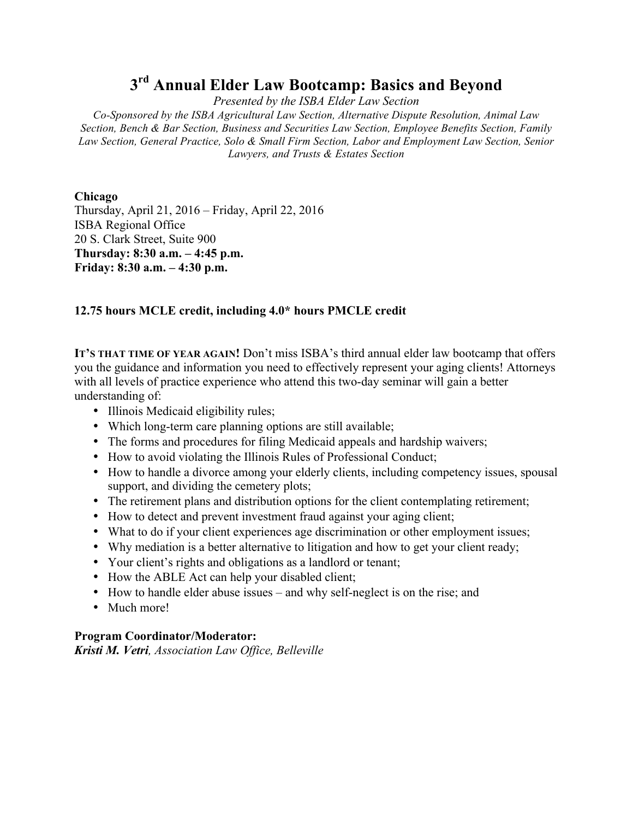# **3rd Annual Elder Law Bootcamp: Basics and Beyond**

*Presented by the ISBA Elder Law Section*

*Co-Sponsored by the ISBA Agricultural Law Section, Alternative Dispute Resolution, Animal Law Section, Bench & Bar Section, Business and Securities Law Section, Employee Benefits Section, Family Law Section, General Practice, Solo & Small Firm Section, Labor and Employment Law Section, Senior Lawyers, and Trusts & Estates Section*

## **Chicago**

Thursday, April 21, 2016 – Friday, April 22, 2016 ISBA Regional Office 20 S. Clark Street, Suite 900 **Thursday: 8:30 a.m. – 4:45 p.m. Friday: 8:30 a.m. – 4:30 p.m.**

## **12.75 hours MCLE credit, including 4.0\* hours PMCLE credit**

**IT'S THAT TIME OF YEAR AGAIN!** Don't miss ISBA's third annual elder law bootcamp that offers you the guidance and information you need to effectively represent your aging clients! Attorneys with all levels of practice experience who attend this two-day seminar will gain a better understanding of:

- Illinois Medicaid eligibility rules;
- Which long-term care planning options are still available;
- The forms and procedures for filing Medicaid appeals and hardship waivers;
- How to avoid violating the Illinois Rules of Professional Conduct;
- How to handle a divorce among your elderly clients, including competency issues, spousal support, and dividing the cemetery plots;
- The retirement plans and distribution options for the client contemplating retirement;
- How to detect and prevent investment fraud against your aging client;
- What to do if your client experiences age discrimination or other employment issues;
- Why mediation is a better alternative to litigation and how to get your client ready;
- Your client's rights and obligations as a landlord or tenant;
- How the ABLE Act can help your disabled client;
- How to handle elder abuse issues and why self-neglect is on the rise; and
- Much more!

### **Program Coordinator/Moderator:**

*Kristi M. Vetri, Association Law Office, Belleville*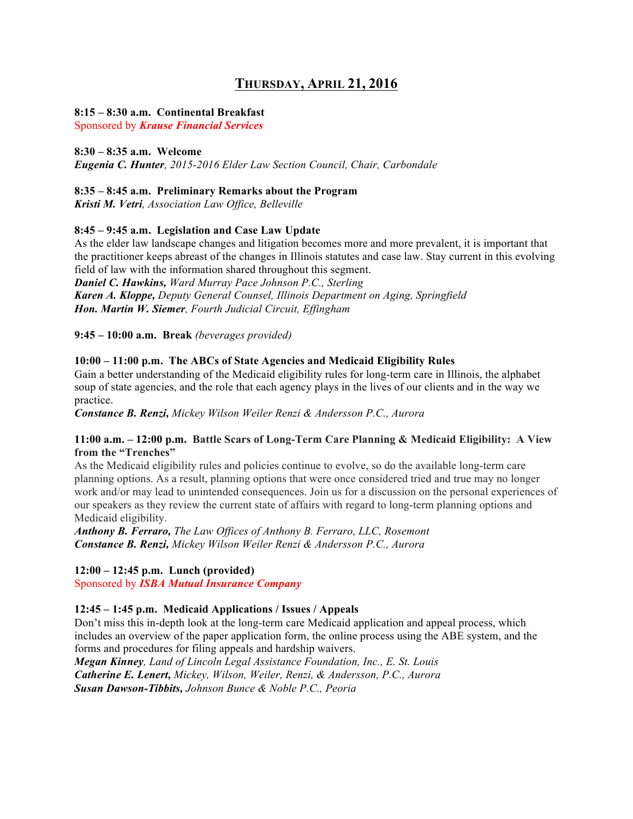## **THURSDAY, APRIL 21, 2016**

#### **8:15 – 8:30 a.m. Continental Breakfast**

Sponsored by *Krause Financial Services*

#### **8:30 – 8:35 a.m. Welcome**

*Eugenia C. Hunter, 2015-2016 Elder Law Section Council, Chair, Carbondale*

#### **8:35 – 8:45 a.m. Preliminary Remarks about the Program**

*Kristi M. Vetri, Association Law Office, Belleville*

#### **8:45 – 9:45 a.m. Legislation and Case Law Update**

As the elder law landscape changes and litigation becomes more and more prevalent, it is important that the practitioner keeps abreast of the changes in Illinois statutes and case law. Stay current in this evolving field of law with the information shared throughout this segment.

*Daniel C. Hawkins, Ward Murray Pace Johnson P.C., Sterling Karen A. Kloppe, Deputy General Counsel, Illinois Department on Aging, Springfield Hon. Martin W. Siemer, Fourth Judicial Circuit, Effingham*

**9:45 – 10:00 a.m. Break** *(beverages provided)*

#### **10:00 – 11:00 p.m. The ABCs of State Agencies and Medicaid Eligibility Rules**

Gain a better understanding of the Medicaid eligibility rules for long-term care in Illinois, the alphabet soup of state agencies, and the role that each agency plays in the lives of our clients and in the way we practice.

*Constance B. Renzi, Mickey Wilson Weiler Renzi & Andersson P.C., Aurora*

#### **11:00 a.m. – 12:00 p.m. Battle Scars of Long-Term Care Planning & Medicaid Eligibility: A View from the "Trenches"**

As the Medicaid eligibility rules and policies continue to evolve, so do the available long-term care planning options. As a result, planning options that were once considered tried and true may no longer work and/or may lead to unintended consequences. Join us for a discussion on the personal experiences of our speakers as they review the current state of affairs with regard to long-term planning options and Medicaid eligibility.

*Anthony B. Ferraro, The Law Offices of Anthony B. Ferraro, LLC, Rosemont Constance B. Renzi, Mickey Wilson Weiler Renzi & Andersson P.C., Aurora* 

### **12:00 – 12:45 p.m. Lunch (provided)**

Sponsored by *ISBA Mutual Insurance Company*

#### **12:45 – 1:45 p.m. Medicaid Applications / Issues / Appeals**

Don't miss this in-depth look at the long-term care Medicaid application and appeal process, which includes an overview of the paper application form, the online process using the ABE system, and the forms and procedures for filing appeals and hardship waivers.

*Megan Kinney, Land of Lincoln Legal Assistance Foundation, Inc., E. St. Louis Catherine E. Lenert, Mickey, Wilson, Weiler, Renzi, & Andersson, P.C., Aurora Susan Dawson-Tibbits, Johnson Bunce & Noble P.C., Peoria*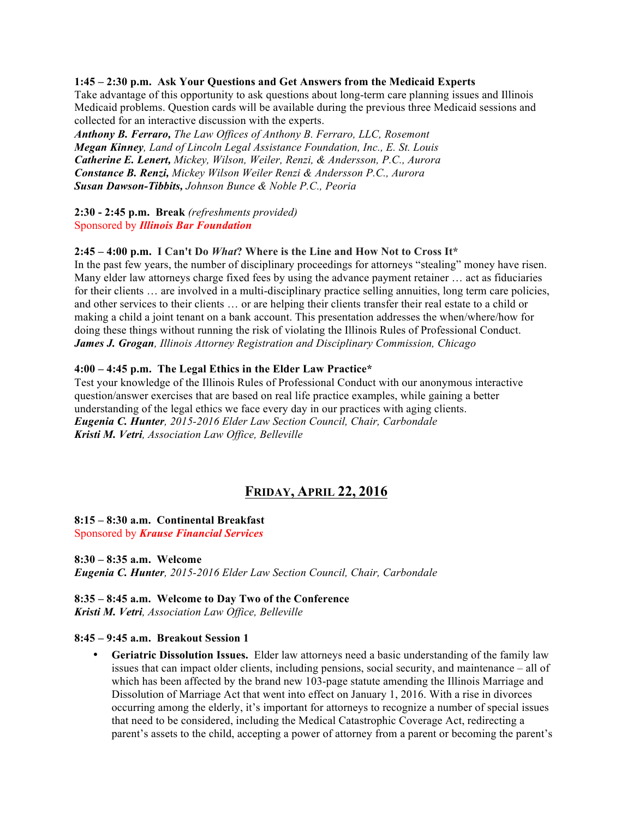#### **1:45 – 2:30 p.m. Ask Your Questions and Get Answers from the Medicaid Experts**

Take advantage of this opportunity to ask questions about long-term care planning issues and Illinois Medicaid problems. Question cards will be available during the previous three Medicaid sessions and collected for an interactive discussion with the experts.

*Anthony B. Ferraro, The Law Offices of Anthony B. Ferraro, LLC, Rosemont Megan Kinney, Land of Lincoln Legal Assistance Foundation, Inc., E. St. Louis Catherine E. Lenert, Mickey, Wilson, Weiler, Renzi, & Andersson, P.C., Aurora Constance B. Renzi, Mickey Wilson Weiler Renzi & Andersson P.C., Aurora Susan Dawson-Tibbits, Johnson Bunce & Noble P.C., Peoria*

#### **2:30 - 2:45 p.m. Break** *(refreshments provided)* Sponsored by *Illinois Bar Foundation*

#### **2:45 – 4:00 p.m. I Can't Do** *What***? Where is the Line and How Not to Cross It\***

In the past few years, the number of disciplinary proceedings for attorneys "stealing" money have risen. Many elder law attorneys charge fixed fees by using the advance payment retainer … act as fiduciaries for their clients ... are involved in a multi-disciplinary practice selling annuities, long term care policies, and other services to their clients … or are helping their clients transfer their real estate to a child or making a child a joint tenant on a bank account. This presentation addresses the when/where/how for doing these things without running the risk of violating the Illinois Rules of Professional Conduct. *James J. Grogan, Illinois Attorney Registration and Disciplinary Commission, Chicago*

#### **4:00 – 4:45 p.m. The Legal Ethics in the Elder Law Practice\***

Test your knowledge of the Illinois Rules of Professional Conduct with our anonymous interactive question/answer exercises that are based on real life practice examples, while gaining a better understanding of the legal ethics we face every day in our practices with aging clients. *Eugenia C. Hunter, 2015-2016 Elder Law Section Council, Chair, Carbondale Kristi M. Vetri, Association Law Office, Belleville*

## **FRIDAY, APRIL 22, 2016**

#### **8:15 – 8:30 a.m. Continental Breakfast** Sponsored by *Krause Financial Services*

**8:30 – 8:35 a.m. Welcome** *Eugenia C. Hunter, 2015-2016 Elder Law Section Council, Chair, Carbondale*

#### **8:35 – 8:45 a.m. Welcome to Day Two of the Conference**

*Kristi M. Vetri, Association Law Office, Belleville*

#### **8:45 – 9:45 a.m. Breakout Session 1**

• **Geriatric Dissolution Issues.** Elder law attorneys need a basic understanding of the family law issues that can impact older clients, including pensions, social security, and maintenance – all of which has been affected by the brand new 103-page statute amending the Illinois Marriage and Dissolution of Marriage Act that went into effect on January 1, 2016. With a rise in divorces occurring among the elderly, it's important for attorneys to recognize a number of special issues that need to be considered, including the Medical Catastrophic Coverage Act, redirecting a parent's assets to the child, accepting a power of attorney from a parent or becoming the parent's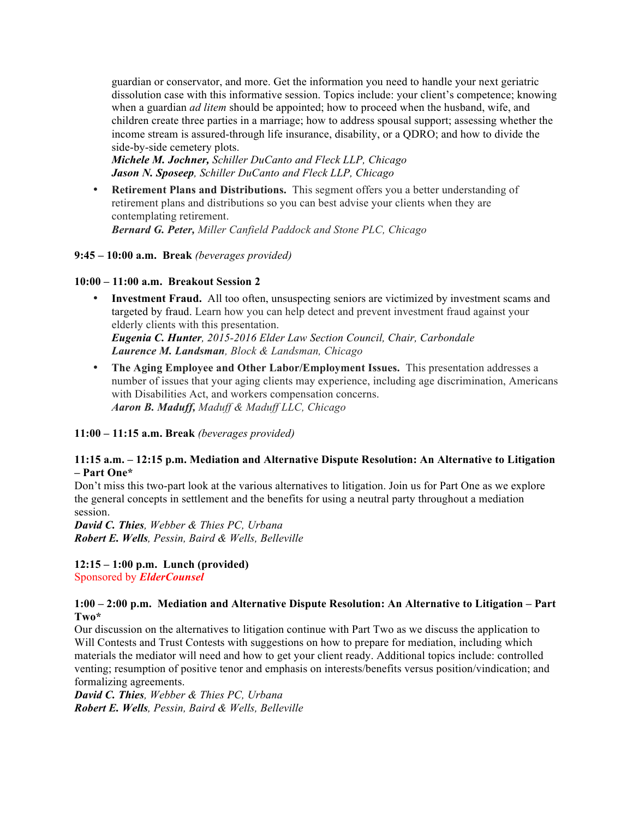guardian or conservator, and more. Get the information you need to handle your next geriatric dissolution case with this informative session. Topics include: your client's competence; knowing when a guardian *ad litem* should be appointed; how to proceed when the husband, wife, and children create three parties in a marriage; how to address spousal support; assessing whether the income stream is assured-through life insurance, disability, or a QDRO; and how to divide the side-by-side cemetery plots.

*Michele M. Jochner, Schiller DuCanto and Fleck LLP, Chicago Jason N. Sposeep, Schiller DuCanto and Fleck LLP, Chicago*

• **Retirement Plans and Distributions.** This segment offers you a better understanding of retirement plans and distributions so you can best advise your clients when they are contemplating retirement. *Bernard G. Peter, Miller Canfield Paddock and Stone PLC, Chicago*

#### **9:45 – 10:00 a.m. Break** *(beverages provided)*

#### **10:00 – 11:00 a.m. Breakout Session 2**

• **Investment Fraud.** All too often, unsuspecting seniors are victimized by investment scams and targeted by fraud. Learn how you can help detect and prevent investment fraud against your elderly clients with this presentation. *Eugenia C. Hunter, 2015-2016 Elder Law Section Council, Chair, Carbondale*

*Laurence M. Landsman, Block & Landsman, Chicago*

• **The Aging Employee and Other Labor/Employment Issues.** This presentation addresses a number of issues that your aging clients may experience, including age discrimination, Americans with Disabilities Act, and workers compensation concerns. *Aaron B. Maduff, Maduff & Maduff LLC, Chicago*

**11:00 – 11:15 a.m. Break** *(beverages provided)*

#### **11:15 a.m. – 12:15 p.m. Mediation and Alternative Dispute Resolution: An Alternative to Litigation – Part One\***

Don't miss this two-part look at the various alternatives to litigation. Join us for Part One as we explore the general concepts in settlement and the benefits for using a neutral party throughout a mediation session.

*David C. Thies, Webber & Thies PC, Urbana Robert E. Wells, Pessin, Baird & Wells, Belleville*

#### **12:15 – 1:00 p.m. Lunch (provided)** Sponsored by *ElderCounsel*

#### **1:00 – 2:00 p.m. Mediation and Alternative Dispute Resolution: An Alternative to Litigation – Part Two\***

Our discussion on the alternatives to litigation continue with Part Two as we discuss the application to Will Contests and Trust Contests with suggestions on how to prepare for mediation, including which materials the mediator will need and how to get your client ready. Additional topics include: controlled venting; resumption of positive tenor and emphasis on interests/benefits versus position/vindication; and formalizing agreements.

*David C. Thies, Webber & Thies PC, Urbana Robert E. Wells, Pessin, Baird & Wells, Belleville*